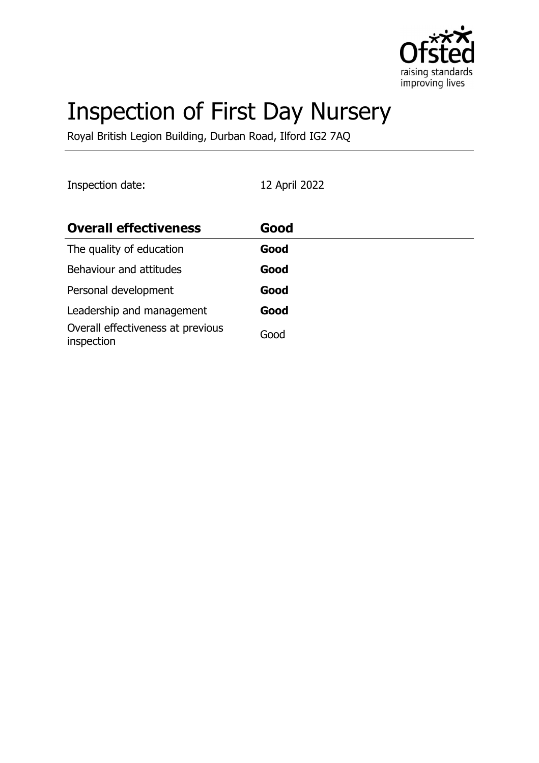

# Inspection of First Day Nursery

Royal British Legion Building, Durban Road, Ilford IG2 7AQ

Inspection date: 12 April 2022

| <b>Overall effectiveness</b>                    | Good |
|-------------------------------------------------|------|
| The quality of education                        | Good |
| Behaviour and attitudes                         | Good |
| Personal development                            | Good |
| Leadership and management                       | Good |
| Overall effectiveness at previous<br>inspection | Good |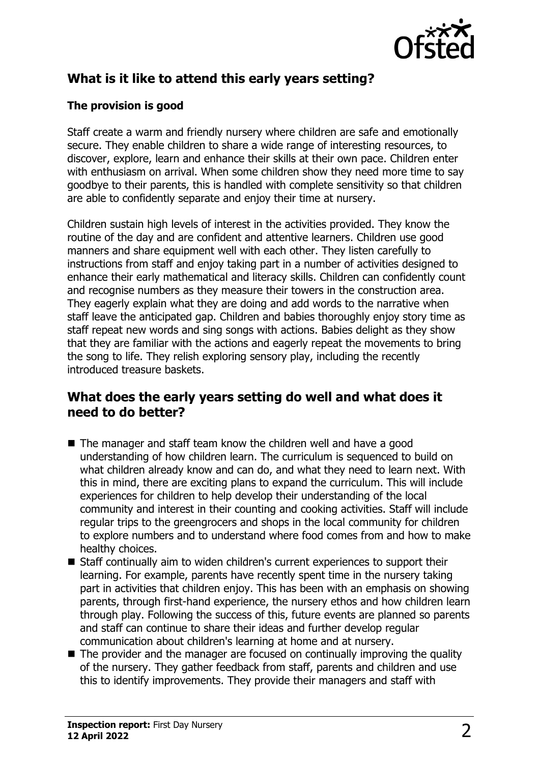

# **What is it like to attend this early years setting?**

#### **The provision is good**

Staff create a warm and friendly nursery where children are safe and emotionally secure. They enable children to share a wide range of interesting resources, to discover, explore, learn and enhance their skills at their own pace. Children enter with enthusiasm on arrival. When some children show they need more time to say goodbye to their parents, this is handled with complete sensitivity so that children are able to confidently separate and enjoy their time at nursery.

Children sustain high levels of interest in the activities provided. They know the routine of the day and are confident and attentive learners. Children use good manners and share equipment well with each other. They listen carefully to instructions from staff and enjoy taking part in a number of activities designed to enhance their early mathematical and literacy skills. Children can confidently count and recognise numbers as they measure their towers in the construction area. They eagerly explain what they are doing and add words to the narrative when staff leave the anticipated gap. Children and babies thoroughly enjoy story time as staff repeat new words and sing songs with actions. Babies delight as they show that they are familiar with the actions and eagerly repeat the movements to bring the song to life. They relish exploring sensory play, including the recently introduced treasure baskets.

### **What does the early years setting do well and what does it need to do better?**

- $\blacksquare$  The manager and staff team know the children well and have a good understanding of how children learn. The curriculum is sequenced to build on what children already know and can do, and what they need to learn next. With this in mind, there are exciting plans to expand the curriculum. This will include experiences for children to help develop their understanding of the local community and interest in their counting and cooking activities. Staff will include regular trips to the greengrocers and shops in the local community for children to explore numbers and to understand where food comes from and how to make healthy choices.
- Staff continually aim to widen children's current experiences to support their learning. For example, parents have recently spent time in the nursery taking part in activities that children enjoy. This has been with an emphasis on showing parents, through first-hand experience, the nursery ethos and how children learn through play. Following the success of this, future events are planned so parents and staff can continue to share their ideas and further develop regular communication about children's learning at home and at nursery.
- $\blacksquare$  The provider and the manager are focused on continually improving the quality of the nursery. They gather feedback from staff, parents and children and use this to identify improvements. They provide their managers and staff with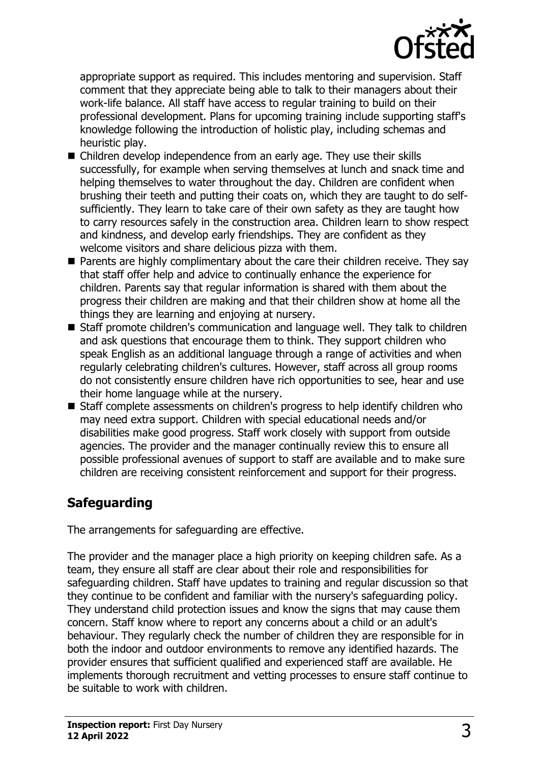

appropriate support as required. This includes mentoring and supervision. Staff comment that they appreciate being able to talk to their managers about their work-life balance. All staff have access to regular training to build on their professional development. Plans for upcoming training include supporting staff's knowledge following the introduction of holistic play, including schemas and heuristic play.

- Children develop independence from an early age. They use their skills successfully, for example when serving themselves at lunch and snack time and helping themselves to water throughout the day. Children are confident when brushing their teeth and putting their coats on, which they are taught to do selfsufficiently. They learn to take care of their own safety as they are taught how to carry resources safely in the construction area. Children learn to show respect and kindness, and develop early friendships. They are confident as they welcome visitors and share delicious pizza with them.
- $\blacksquare$  Parents are highly complimentary about the care their children receive. They say that staff offer help and advice to continually enhance the experience for children. Parents say that regular information is shared with them about the progress their children are making and that their children show at home all the things they are learning and enjoying at nursery.
- Staff promote children's communication and language well. They talk to children and ask questions that encourage them to think. They support children who speak English as an additional language through a range of activities and when regularly celebrating children's cultures. However, staff across all group rooms do not consistently ensure children have rich opportunities to see, hear and use their home language while at the nursery.
- $\blacksquare$  Staff complete assessments on children's progress to help identify children who may need extra support. Children with special educational needs and/or disabilities make good progress. Staff work closely with support from outside agencies. The provider and the manager continually review this to ensure all possible professional avenues of support to staff are available and to make sure children are receiving consistent reinforcement and support for their progress.

## **Safeguarding**

The arrangements for safeguarding are effective.

The provider and the manager place a high priority on keeping children safe. As a team, they ensure all staff are clear about their role and responsibilities for safeguarding children. Staff have updates to training and regular discussion so that they continue to be confident and familiar with the nursery's safeguarding policy. They understand child protection issues and know the signs that may cause them concern. Staff know where to report any concerns about a child or an adult's behaviour. They regularly check the number of children they are responsible for in both the indoor and outdoor environments to remove any identified hazards. The provider ensures that sufficient qualified and experienced staff are available. He implements thorough recruitment and vetting processes to ensure staff continue to be suitable to work with children.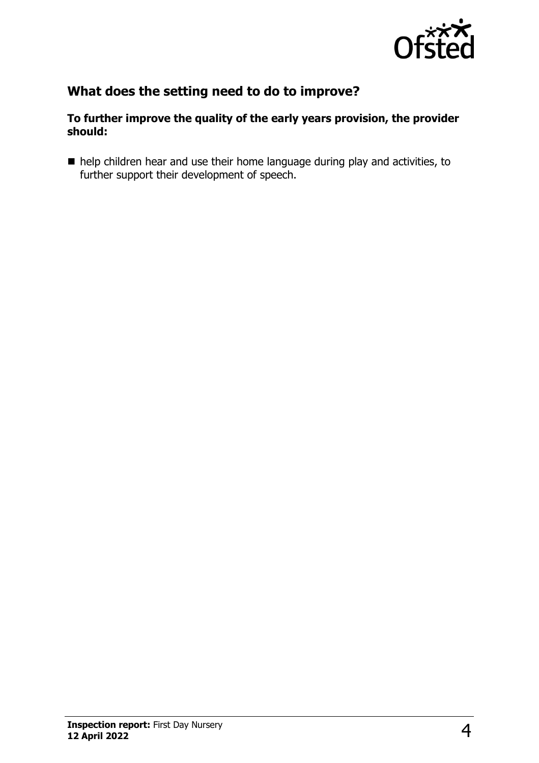

# **What does the setting need to do to improve?**

#### **To further improve the quality of the early years provision, the provider should:**

■ help children hear and use their home language during play and activities, to further support their development of speech.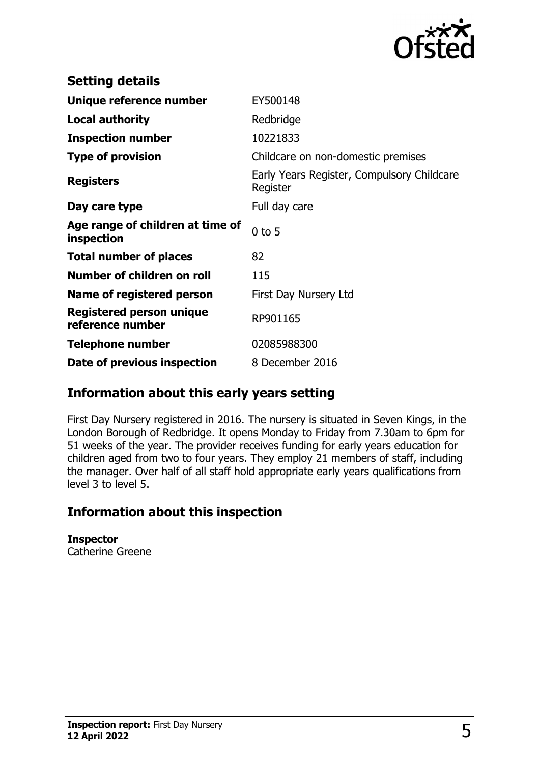

| <b>Setting details</b>                              |                                                        |
|-----------------------------------------------------|--------------------------------------------------------|
| Unique reference number                             | EY500148                                               |
| <b>Local authority</b>                              | Redbridge                                              |
| <b>Inspection number</b>                            | 10221833                                               |
| <b>Type of provision</b>                            | Childcare on non-domestic premises                     |
| <b>Registers</b>                                    | Early Years Register, Compulsory Childcare<br>Register |
| Day care type                                       | Full day care                                          |
| Age range of children at time of<br>inspection      | $0$ to 5                                               |
| <b>Total number of places</b>                       | 82                                                     |
| Number of children on roll                          | 115                                                    |
| Name of registered person                           | First Day Nursery Ltd                                  |
| <b>Registered person unique</b><br>reference number | RP901165                                               |
| <b>Telephone number</b>                             | 02085988300                                            |
| Date of previous inspection                         | 8 December 2016                                        |

## **Information about this early years setting**

First Day Nursery registered in 2016. The nursery is situated in Seven Kings, in the London Borough of Redbridge. It opens Monday to Friday from 7.30am to 6pm for 51 weeks of the year. The provider receives funding for early years education for children aged from two to four years. They employ 21 members of staff, including the manager. Over half of all staff hold appropriate early years qualifications from level 3 to level 5.

### **Information about this inspection**

**Inspector**

Catherine Greene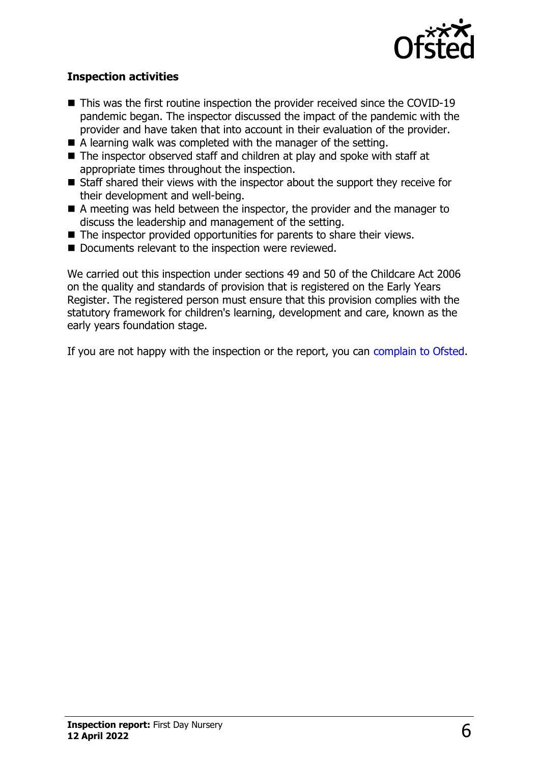

#### **Inspection activities**

- $\blacksquare$  This was the first routine inspection the provider received since the COVID-19 pandemic began. The inspector discussed the impact of the pandemic with the provider and have taken that into account in their evaluation of the provider.
- $\blacksquare$  A learning walk was completed with the manager of the setting.
- $\blacksquare$  The inspector observed staff and children at play and spoke with staff at appropriate times throughout the inspection.
- $\blacksquare$  Staff shared their views with the inspector about the support they receive for their development and well-being.
- $\blacksquare$  A meeting was held between the inspector, the provider and the manager to discuss the leadership and management of the setting.
- $\blacksquare$  The inspector provided opportunities for parents to share their views.
- $\blacksquare$  Documents relevant to the inspection were reviewed.

We carried out this inspection under sections 49 and 50 of the Childcare Act 2006 on the quality and standards of provision that is registered on the Early Years Register. The registered person must ensure that this provision complies with the statutory framework for children's learning, development and care, known as the early years foundation stage.

If you are not happy with the inspection or the report, you can [complain to Ofsted](http://www.gov.uk/complain-ofsted-report).